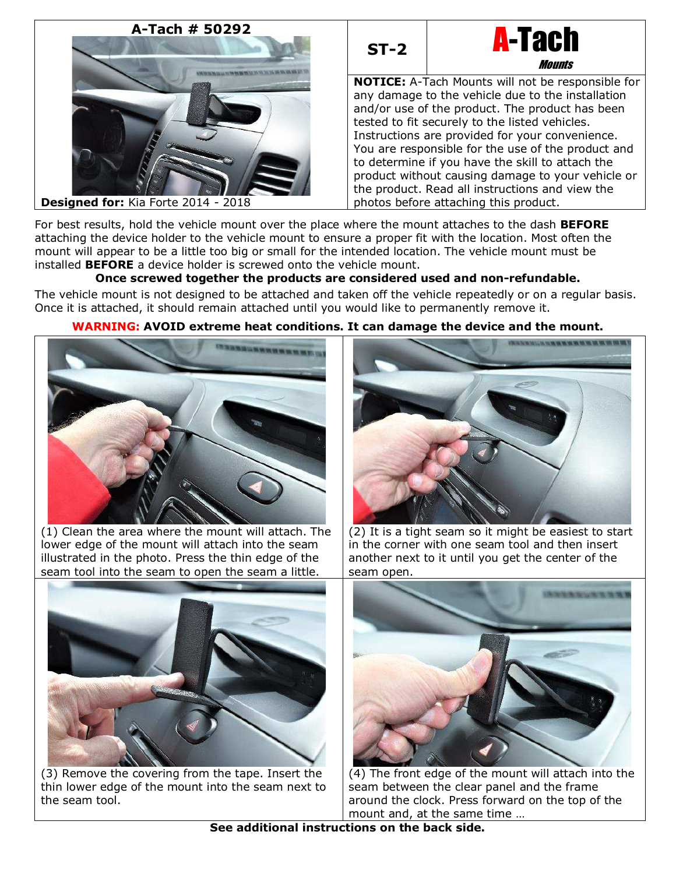# **A-Tach # 50292**





**NOTICE:** A-Tach Mounts will not be responsible for any damage to the vehicle due to the installation and/or use of the product. The product has been tested to fit securely to the listed vehicles. Instructions are provided for your convenience. You are responsible for the use of the product and to determine if you have the skill to attach the product without causing damage to your vehicle or the product. Read all instructions and view the photos before attaching this product.

**Designed for:** Kia Forte 2014 - 2018

For best results, hold the vehicle mount over the place where the mount attaches to the dash **BEFORE** attaching the device holder to the vehicle mount to ensure a proper fit with the location. Most often the mount will appear to be a little too big or small for the intended location. The vehicle mount must be installed **BEFORE** a device holder is screwed onto the vehicle mount.

## **Once screwed together the products are considered used and non-refundable.**

The vehicle mount is not designed to be attached and taken off the vehicle repeatedly or on a regular basis. Once it is attached, it should remain attached until you would like to permanently remove it.



## **WARNING: AVOID extreme heat conditions. It can damage the device and the mount.**

(1) Clean the area where the mount will attach. The lower edge of the mount will attach into the seam illustrated in the photo. Press the thin edge of the seam tool into the seam to open the seam a little.



(2) It is a tight seam so it might be easiest to start in the corner with one seam tool and then insert another next to it until you get the center of the seam open.



(3) Remove the covering from the tape. Insert the thin lower edge of the mount into the seam next to the seam tool.



(4) The front edge of the mount will attach into the seam between the clear panel and the frame around the clock. Press forward on the top of the mount and, at the same time …